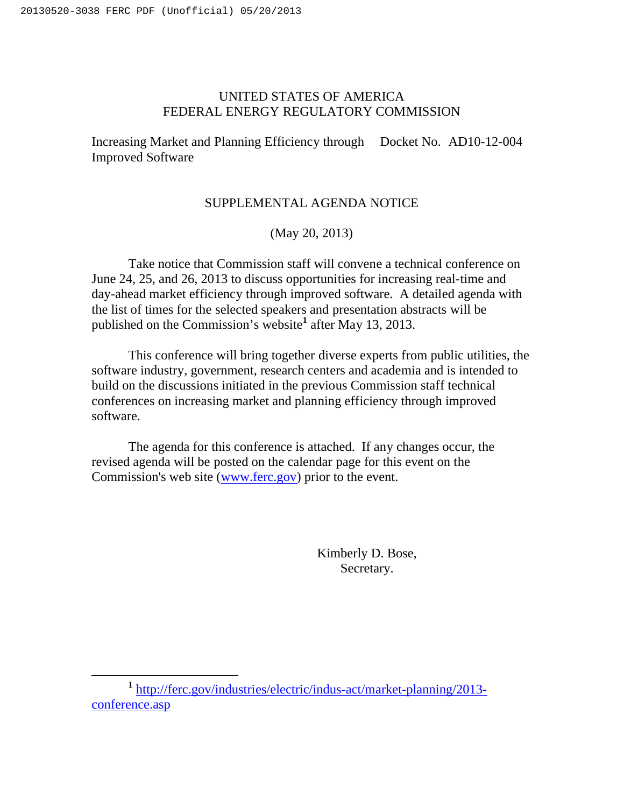# UNITED STATES OF AMERICA FEDERAL ENERGY REGULATORY COMMISSION

Increasing Market and Planning Efficiency through Docket No. AD10-12-004 Improved Software

## SUPPLEMENTAL AGENDA NOTICE

(May 20, 2013)

Take notice that Commission staff will convene a technical conference on June 24, 25, and 26, 2013 to discuss opportunities for increasing real-time and day-ahead market efficiency through improved software. A detailed agenda with the list of times for the selected speakers and presentation abstracts will be published on the Commission's website**<sup>1</sup>** after May 13, 2013.

This conference will bring together diverse experts from public utilities, the software industry, government, research centers and academia and is intended to build on the discussions initiated in the previous Commission staff technical conferences on increasing market and planning efficiency through improved software.

The agenda for this conference is attached. If any changes occur, the revised agenda will be posted on the calendar page for this event on the Commission's web site (www.ferc.gov) prior to the event.

> Kimberly D. Bose, Secretary.

**<sup>1</sup>** http://ferc.gov/industries/electric/indus-act/market-planning/2013 conference.asp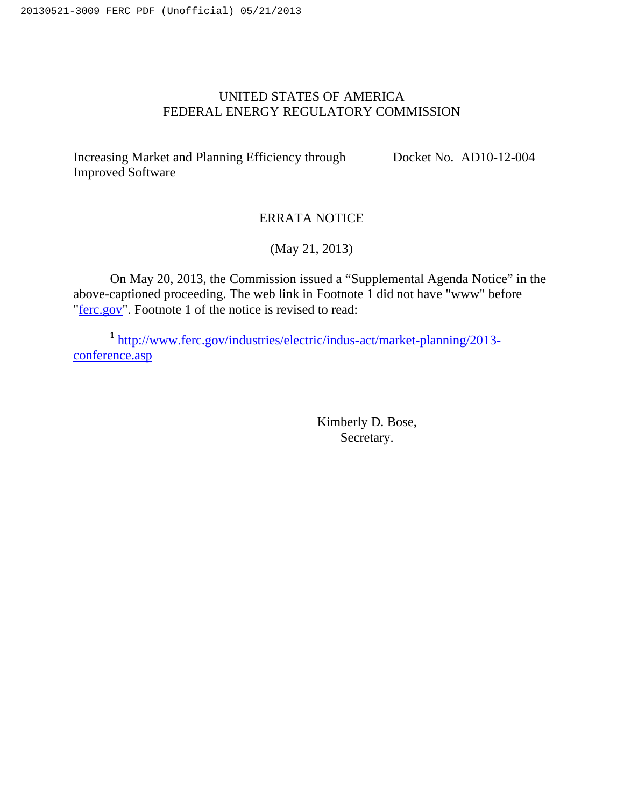# UNITED STATES OF AMERICA FEDERAL ENERGY REGULATORY COMMISSION

Increasing Market and Planning Efficiency through Improved Software

Docket No. AD10-12-004

## ERRATA NOTICE

(May 21, 2013)

On May 20, 2013, the Commission issued a "Supplemental Agenda Notice" in the above-captioned proceeding. The web link in Footnote 1 did not have "www" before "ferc.gov". Footnote 1 of the notice is revised to read:

**<sup>1</sup>** http://www.ferc.gov/industries/electric/indus-act/market-planning/2013 conference.asp

> Kimberly D. Bose, Secretary.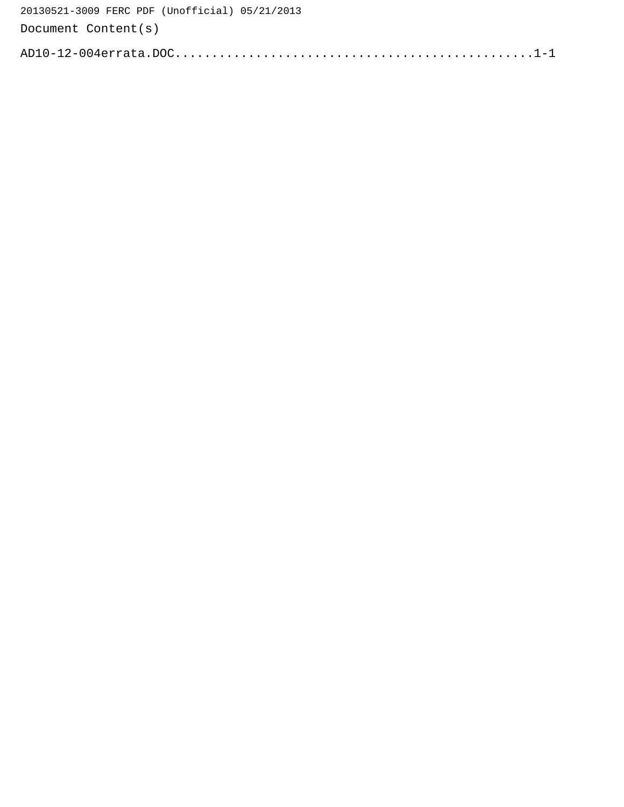| 20130521-3009 FERC PDF (Unofficial) 05/21/2013 |
|------------------------------------------------|
| Document Content(s)                            |
|                                                |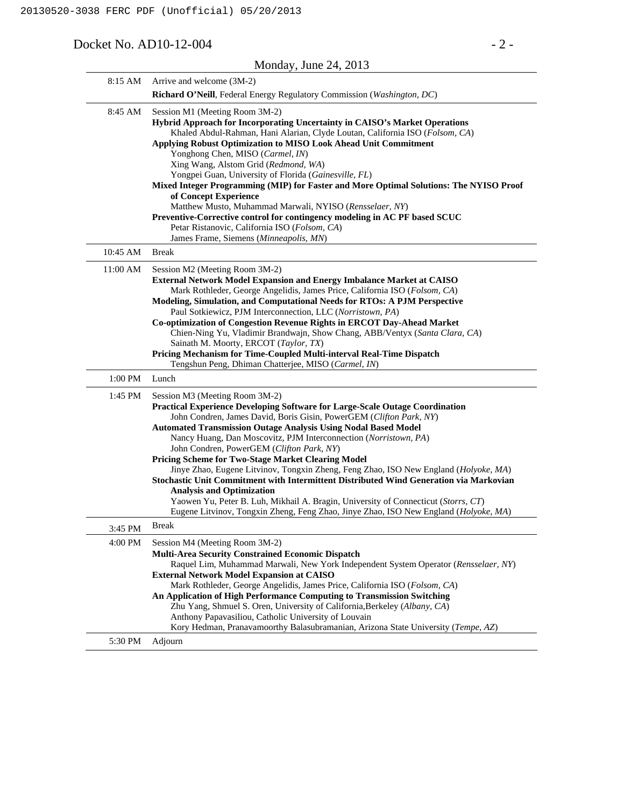### Docket No. AD10-12-004 - 2 -

|          | Monday, June $24$ , $2013$                                                                                                                                                                                                                                                                                                                                                                                                                                                                                                                                                                                                                                                                                                                                                                                                                |
|----------|-------------------------------------------------------------------------------------------------------------------------------------------------------------------------------------------------------------------------------------------------------------------------------------------------------------------------------------------------------------------------------------------------------------------------------------------------------------------------------------------------------------------------------------------------------------------------------------------------------------------------------------------------------------------------------------------------------------------------------------------------------------------------------------------------------------------------------------------|
| 8:15 AM  | Arrive and welcome (3M-2)                                                                                                                                                                                                                                                                                                                                                                                                                                                                                                                                                                                                                                                                                                                                                                                                                 |
|          | Richard O'Neill, Federal Energy Regulatory Commission (Washington, DC)                                                                                                                                                                                                                                                                                                                                                                                                                                                                                                                                                                                                                                                                                                                                                                    |
| 8:45 AM  | Session M1 (Meeting Room 3M-2)<br><b>Hybrid Approach for Incorporating Uncertainty in CAISO's Market Operations</b><br>Khaled Abdul-Rahman, Hani Alarian, Clyde Loutan, California ISO (Folsom, CA)<br>Applying Robust Optimization to MISO Look Ahead Unit Commitment<br>Yonghong Chen, MISO (Carmel, IN)<br>Xing Wang, Alstom Grid (Redmond, WA)                                                                                                                                                                                                                                                                                                                                                                                                                                                                                        |
|          | Yongpei Guan, University of Florida (Gainesville, FL)<br>Mixed Integer Programming (MIP) for Faster and More Optimal Solutions: The NYISO Proof<br>of Concept Experience<br>Matthew Musto, Muhammad Marwali, NYISO (Rensselaer, NY)<br>Preventive-Corrective control for contingency modeling in AC PF based SCUC<br>Petar Ristanovic, California ISO (Folsom, CA)<br>James Frame, Siemens (Minneapolis, MN)                                                                                                                                                                                                                                                                                                                                                                                                                              |
| 10:45 AM | <b>Break</b>                                                                                                                                                                                                                                                                                                                                                                                                                                                                                                                                                                                                                                                                                                                                                                                                                              |
| 11:00 AM | Session M2 (Meeting Room 3M-2)<br>External Network Model Expansion and Energy Imbalance Market at CAISO<br>Mark Rothleder, George Angelidis, James Price, California ISO (Folsom, CA)<br>Modeling, Simulation, and Computational Needs for RTOs: A PJM Perspective<br>Paul Sotkiewicz, PJM Interconnection, LLC (Norristown, PA)<br>Co-optimization of Congestion Revenue Rights in ERCOT Day-Ahead Market<br>Chien-Ning Yu, Vladimir Brandwajn, Show Chang, ABB/Ventyx (Santa Clara, CA)<br>Sainath M. Moorty, ERCOT (Taylor, TX)<br>Pricing Mechanism for Time-Coupled Multi-interval Real-Time Dispatch<br>Tengshun Peng, Dhiman Chatterjee, MISO (Carmel, IN)                                                                                                                                                                         |
| 1:00 PM  | Lunch                                                                                                                                                                                                                                                                                                                                                                                                                                                                                                                                                                                                                                                                                                                                                                                                                                     |
| 1:45 PM  | Session M3 (Meeting Room 3M-2)<br>Practical Experience Developing Software for Large-Scale Outage Coordination<br>John Condren, James David, Boris Gisin, PowerGEM (Clifton Park, NY)<br><b>Automated Transmission Outage Analysis Using Nodal Based Model</b><br>Nancy Huang, Dan Moscovitz, PJM Interconnection (Norristown, PA)<br>John Condren, PowerGEM (Clifton Park, NY)<br>Pricing Scheme for Two-Stage Market Clearing Model<br>Jinye Zhao, Eugene Litvinov, Tongxin Zheng, Feng Zhao, ISO New England (Holyoke, MA)<br>Stochastic Unit Commitment with Intermittent Distributed Wind Generation via Markovian<br><b>Analysis and Optimization</b><br>Yaowen Yu, Peter B. Luh, Mikhail A. Bragin, University of Connecticut (Storrs, CT)<br>Eugene Litvinov, Tongxin Zheng, Feng Zhao, Jinye Zhao, ISO New England (Holyoke, MA) |
| 3:45 PM  | <b>Break</b>                                                                                                                                                                                                                                                                                                                                                                                                                                                                                                                                                                                                                                                                                                                                                                                                                              |
| 4:00 PM  | Session M4 (Meeting Room 3M-2)<br><b>Multi-Area Security Constrained Economic Dispatch</b><br>Raquel Lim, Muhammad Marwali, New York Independent System Operator (Rensselaer, NY)<br><b>External Network Model Expansion at CAISO</b><br>Mark Rothleder, George Angelidis, James Price, California ISO (Folsom, CA)<br>An Application of High Performance Computing to Transmission Switching<br>Zhu Yang, Shmuel S. Oren, University of California, Berkeley (Albany, CA)<br>Anthony Papavasiliou, Catholic University of Louvain                                                                                                                                                                                                                                                                                                        |
|          | Kory Hedman, Pranavamoorthy Balasubramanian, Arizona State University (Tempe, AZ)                                                                                                                                                                                                                                                                                                                                                                                                                                                                                                                                                                                                                                                                                                                                                         |
| 5:30 PM  | Adjourn                                                                                                                                                                                                                                                                                                                                                                                                                                                                                                                                                                                                                                                                                                                                                                                                                                   |

#### Monday, June 24, 2013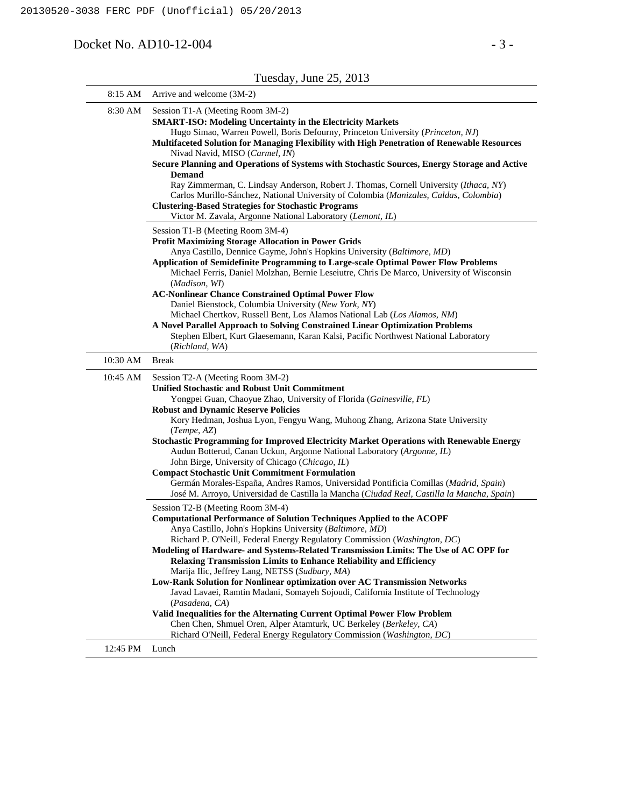Docket No. AD10-12-004 - 3 -

| 8:15 AM  | Arrive and welcome (3M-2)                                                                                                                                                                                                                                                                                                                                                                                                                                                                                                                                                                                                                                                                                                                                                                                               |
|----------|-------------------------------------------------------------------------------------------------------------------------------------------------------------------------------------------------------------------------------------------------------------------------------------------------------------------------------------------------------------------------------------------------------------------------------------------------------------------------------------------------------------------------------------------------------------------------------------------------------------------------------------------------------------------------------------------------------------------------------------------------------------------------------------------------------------------------|
| 8:30 AM  | Session T1-A (Meeting Room 3M-2)<br><b>SMART-ISO: Modeling Uncertainty in the Electricity Markets</b><br>Hugo Simao, Warren Powell, Boris Defourny, Princeton University (Princeton, NJ)<br>Multifaceted Solution for Managing Flexibility with High Penetration of Renewable Resources<br>Nivad Navid, MISO (Carmel, IN)<br>Secure Planning and Operations of Systems with Stochastic Sources, Energy Storage and Active<br><b>Demand</b><br>Ray Zimmerman, C. Lindsay Anderson, Robert J. Thomas, Cornell University (Ithaca, NY)<br>Carlos Murillo-Sánchez, National University of Colombia (Manizales, Caldas, Colombia)<br><b>Clustering-Based Strategies for Stochastic Programs</b><br>Victor M. Zavala, Argonne National Laboratory (Lemont, IL)                                                                |
|          | Session T1-B (Meeting Room 3M-4)<br><b>Profit Maximizing Storage Allocation in Power Grids</b><br>Anya Castillo, Dennice Gayme, John's Hopkins University (Baltimore, MD)<br><b>Application of Semidefinite Programming to Large-scale Optimal Power Flow Problems</b><br>Michael Ferris, Daniel Molzhan, Bernie Leseiutre, Chris De Marco, University of Wisconsin<br>(Madison, WI)<br><b>AC-Nonlinear Chance Constrained Optimal Power Flow</b><br>Daniel Bienstock, Columbia University (New York, NY)<br>Michael Chertkov, Russell Bent, Los Alamos National Lab (Los Alamos, NM)<br>A Novel Parallel Approach to Solving Constrained Linear Optimization Problems<br>Stephen Elbert, Kurt Glaesemann, Karan Kalsi, Pacific Northwest National Laboratory<br>(Richland, WA)                                         |
| 10:30 AM | <b>Break</b>                                                                                                                                                                                                                                                                                                                                                                                                                                                                                                                                                                                                                                                                                                                                                                                                            |
| 10:45 AM | Session T2-A (Meeting Room 3M-2)<br><b>Unified Stochastic and Robust Unit Commitment</b><br>Yongpei Guan, Chaoyue Zhao, University of Florida (Gainesville, FL)<br><b>Robust and Dynamic Reserve Policies</b><br>Kory Hedman, Joshua Lyon, Fengyu Wang, Muhong Zhang, Arizona State University<br>(Tempe, AZ)<br><b>Stochastic Programming for Improved Electricity Market Operations with Renewable Energy</b><br>Audun Botterud, Canan Uckun, Argonne National Laboratory (Argonne, IL)<br>John Birge, University of Chicago (Chicago, IL)<br><b>Compact Stochastic Unit Commitment Formulation</b><br>Germán Morales-España, Andres Ramos, Universidad Pontificia Comillas (Madrid, Spain)<br>José M. Arroyo, Universidad de Castilla la Mancha (Ciudad Real, Castilla la Mancha, Spain)                             |
|          | Session T2-B (Meeting Room 3M-4)<br><b>Computational Performance of Solution Techniques Applied to the ACOPF</b><br>Anya Castillo, John's Hopkins University (Baltimore, MD)<br>Richard P. O'Neill, Federal Energy Regulatory Commission (Washington, DC)<br>Modeling of Hardware- and Systems-Related Transmission Limits: The Use of AC OPF for<br><b>Relaxing Transmission Limits to Enhance Reliability and Efficiency</b><br>Marija Ilic, Jeffrey Lang, NETSS (Sudbury, MA)<br>Low-Rank Solution for Nonlinear optimization over AC Transmission Networks<br>Javad Lavaei, Ramtin Madani, Somayeh Sojoudi, California Institute of Technology<br>(Pasadena, CA)<br>Valid Inequalities for the Alternating Current Optimal Power Flow Problem<br>Chen Chen, Shmuel Oren, Alper Atamturk, UC Berkeley (Berkeley, CA) |
| 12:45 PM | Richard O'Neill, Federal Energy Regulatory Commission (Washington, DC)<br>Lunch                                                                                                                                                                                                                                                                                                                                                                                                                                                                                                                                                                                                                                                                                                                                         |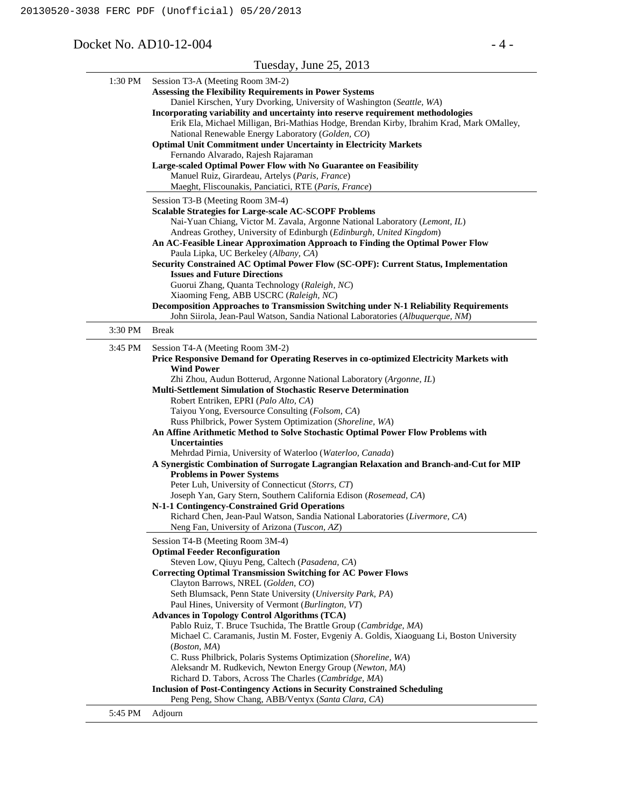#### Docket No. AD10-12-004 - 4 -

#### Tuesday, June 25, 2013 1:30 PM Session T3-A (Meeting Room 3M-2) **Assessing the Flexibility Requirements in Power Systems** Daniel Kirschen, Yury Dvorking, University of Washington (*Seattle, WA*) **Incorporating variability and uncertainty into reserve requirement methodologies** Erik Ela, Michael Milligan, Bri-Mathias Hodge, Brendan Kirby, Ibrahim Krad, Mark OMalley, National Renewable Energy Laboratory (*Golden, CO*) **Optimal Unit Commitment under Uncertainty in Electricity Markets** Fernando Alvarado, Rajesh Rajaraman **Large-scaled Optimal Power Flow with No Guarantee on Feasibility** Manuel Ruiz, Girardeau, Artelys (*Paris, France*) Maeght, Fliscounakis, Panciatici, RTE (*Paris, France*) Session T3-B (Meeting Room 3M-4) **Scalable Strategies for Large-scale AC-SCOPF Problems** Nai-Yuan Chiang, Victor M. Zavala, Argonne National Laboratory (*Lemont, IL*) Andreas Grothey, University of Edinburgh (*Edinburgh, United Kingdom*) **An AC-Feasible Linear Approximation Approach to Finding the Optimal Power Flow** Paula Lipka, UC Berkeley (*Albany, CA*) **Security Constrained AC Optimal Power Flow (SC-OPF): Current Status, Implementation Issues and Future Directions** Guorui Zhang, Quanta Technology (*Raleigh, NC*) Xiaoming Feng, ABB USCRC (*Raleigh, NC*) **Decomposition Approaches to Transmission Switching under N-1 Reliability Requirements** John Siirola, Jean-Paul Watson, Sandia National Laboratories (*Albuquerque, NM*) 3:30 PM Break 3:45 PM Session T4-A (Meeting Room 3M-2) **Price Responsive Demand for Operating Reserves in co-optimized Electricity Markets with Wind Power** Zhi Zhou, Audun Botterud, Argonne National Laboratory (*Argonne, IL*) **Multi-Settlement Simulation of Stochastic Reserve Determination** Robert Entriken, EPRI (*Palo Alto, CA*) Taiyou Yong, Eversource Consulting (*Folsom, CA*) Russ Philbrick, Power System Optimization (*Shoreline, WA*) **An Affine Arithmetic Method to Solve Stochastic Optimal Power Flow Problems with Uncertainties** Mehrdad Pirnia, University of Waterloo (*Waterloo, Canada*) **A Synergistic Combination of Surrogate Lagrangian Relaxation and Branch-and-Cut for MIP Problems in Power Systems** Peter Luh, University of Connecticut (*Storrs, CT*) Joseph Yan, Gary Stern, Southern California Edison (*Rosemead, CA*) **N-1-1 Contingency-Constrained Grid Operations** Richard Chen, Jean-Paul Watson, Sandia National Laboratories (*Livermore, CA*) Neng Fan, University of Arizona (*Tuscon, AZ*) Session T4-B (Meeting Room 3M-4) **Optimal Feeder Reconfiguration** Steven Low, Qiuyu Peng, Caltech (*Pasadena, CA*) **Correcting Optimal Transmission Switching for AC Power Flows** Clayton Barrows, NREL (*Golden, CO*) Seth Blumsack, Penn State University (*University Park, PA*) Paul Hines, University of Vermont (*Burlington, VT*) **Advances in Topology Control Algorithms (TCA)** Pablo Ruiz, T. Bruce Tsuchida, The Brattle Group (*Cambridge, MA*) Michael C. Caramanis, Justin M. Foster, Evgeniy A. Goldis, Xiaoguang Li, Boston University (*Boston, MA*) C. Russ Philbrick, Polaris Systems Optimization (*Shoreline, WA*) Aleksandr M. Rudkevich, Newton Energy Group (*Newton, MA*) Richard D. Tabors, Across The Charles (*Cambridge, MA*) **Inclusion of Post-Contingency Actions in Security Constrained Scheduling** Peng Peng, Show Chang, ABB/Ventyx (*Santa Clara, CA*)

5:45 PM Adjourn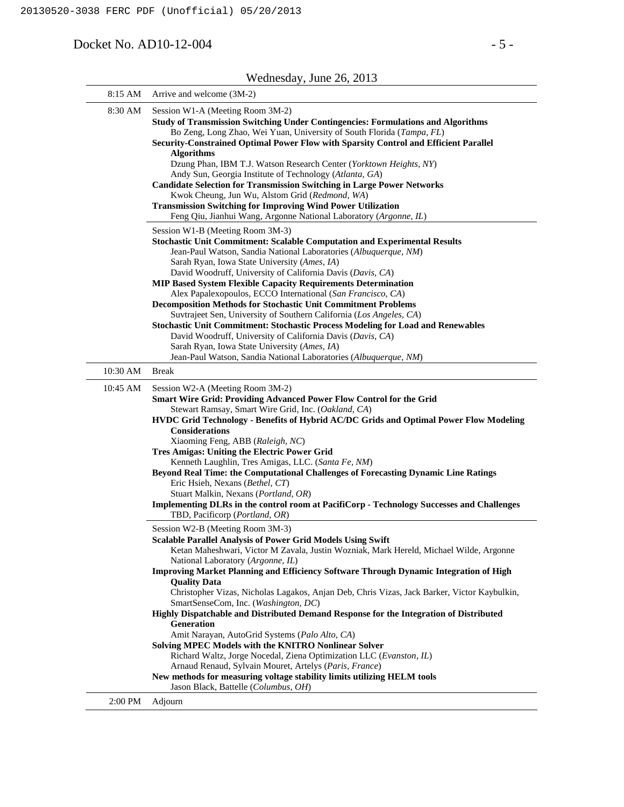Docket No. AD10-12-004 - 5 -

|          | $\alpha$ equipsuay, juint $\alpha$ <sub>20</sub> , $\alpha$ <sub>2015</sub>                                                                                                                                                                                                                                                                                                                                                                                                                                                                                                                                                                                                                                                                                                                                                                                                                                                                                                      |
|----------|----------------------------------------------------------------------------------------------------------------------------------------------------------------------------------------------------------------------------------------------------------------------------------------------------------------------------------------------------------------------------------------------------------------------------------------------------------------------------------------------------------------------------------------------------------------------------------------------------------------------------------------------------------------------------------------------------------------------------------------------------------------------------------------------------------------------------------------------------------------------------------------------------------------------------------------------------------------------------------|
| 8:15 AM  | Arrive and welcome (3M-2)                                                                                                                                                                                                                                                                                                                                                                                                                                                                                                                                                                                                                                                                                                                                                                                                                                                                                                                                                        |
| 8:30 AM  | Session W1-A (Meeting Room 3M-2)<br>Study of Transmission Switching Under Contingencies: Formulations and Algorithms<br>Bo Zeng, Long Zhao, Wei Yuan, University of South Florida (Tampa, FL)<br>Security-Constrained Optimal Power Flow with Sparsity Control and Efficient Parallel<br><b>Algorithms</b><br>Dzung Phan, IBM T.J. Watson Research Center (Yorktown Heights, NY)<br>Andy Sun, Georgia Institute of Technology (Atlanta, GA)<br><b>Candidate Selection for Transmission Switching in Large Power Networks</b><br>Kwok Cheung, Jun Wu, Alstom Grid (Redmond, WA)<br><b>Transmission Switching for Improving Wind Power Utilization</b><br>Feng Qiu, Jianhui Wang, Argonne National Laboratory (Argonne, IL)                                                                                                                                                                                                                                                        |
|          | Session W1-B (Meeting Room 3M-3)<br><b>Stochastic Unit Commitment: Scalable Computation and Experimental Results</b><br>Jean-Paul Watson, Sandia National Laboratories (Albuquerque, NM)<br>Sarah Ryan, Iowa State University (Ames, IA)<br>David Woodruff, University of California Davis (Davis, CA)<br><b>MIP Based System Flexible Capacity Requirements Determination</b><br>Alex Papalexopoulos, ECCO International (San Francisco, CA)<br><b>Decomposition Methods for Stochastic Unit Commitment Problems</b><br>Suvtrajeet Sen, University of Southern California (Los Angeles, CA)<br><b>Stochastic Unit Commitment: Stochastic Process Modeling for Load and Renewables</b><br>David Woodruff, University of California Davis (Davis, CA)<br>Sarah Ryan, Iowa State University (Ames, IA)<br>Jean-Paul Watson, Sandia National Laboratories (Albuquerque, NM)                                                                                                         |
| 10:30 AM | <b>Break</b>                                                                                                                                                                                                                                                                                                                                                                                                                                                                                                                                                                                                                                                                                                                                                                                                                                                                                                                                                                     |
| 10:45 AM | Session W2-A (Meeting Room 3M-2)<br>Smart Wire Grid: Providing Advanced Power Flow Control for the Grid<br>Stewart Ramsay, Smart Wire Grid, Inc. (Oakland, CA)<br>HVDC Grid Technology - Benefits of Hybrid AC/DC Grids and Optimal Power Flow Modeling<br><b>Considerations</b><br>Xiaoming Feng, ABB (Raleigh, NC)<br>Tres Amigas: Uniting the Electric Power Grid<br>Kenneth Laughlin, Tres Amigas, LLC. (Santa Fe, NM)<br>Beyond Real Time: the Computational Challenges of Forecasting Dynamic Line Ratings<br>Eric Hsieh, Nexans (Bethel, CT)<br>Stuart Malkin, Nexans (Portland, OR)<br><b>Implementing DLRs in the control room at PacifiCorp - Technology Successes and Challenges</b><br>TBD, Pacificorp (Portland, OR)                                                                                                                                                                                                                                                |
|          | Session W2-B (Meeting Room 3M-3)<br><b>Scalable Parallel Analysis of Power Grid Models Using Swift</b><br>Ketan Maheshwari, Victor M Zavala, Justin Wozniak, Mark Hereld, Michael Wilde, Argonne<br>National Laboratory (Argonne, IL)<br><b>Improving Market Planning and Efficiency Software Through Dynamic Integration of High</b><br><b>Quality Data</b><br>Christopher Vizas, Nicholas Lagakos, Anjan Deb, Chris Vizas, Jack Barker, Victor Kaybulkin,<br>SmartSenseCom, Inc. (Washington, DC)<br>Highly Dispatchable and Distributed Demand Response for the Integration of Distributed<br>Generation<br>Amit Narayan, AutoGrid Systems (Palo Alto, CA)<br><b>Solving MPEC Models with the KNITRO Nonlinear Solver</b><br>Richard Waltz, Jorge Nocedal, Ziena Optimization LLC (Evanston, IL)<br>Arnaud Renaud, Sylvain Mouret, Artelys (Paris, France)<br>New methods for measuring voltage stability limits utilizing HELM tools<br>Jason Black, Battelle (Columbus, OH) |

Wednesday, June 26, 2013

2:00 PM Adjourn